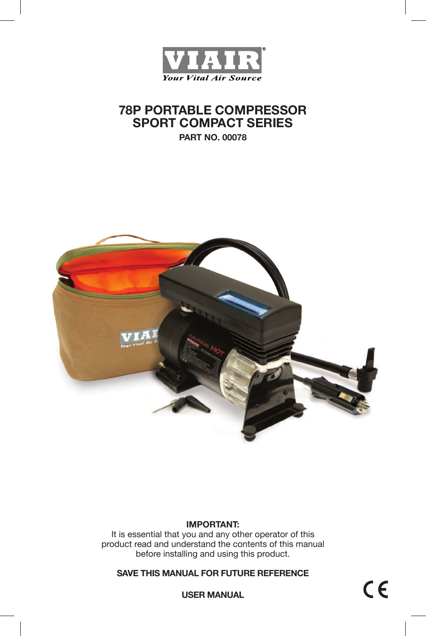

# **78P PORTABLE COMPRESSOR SPORT COMPACT SERIES**

**PART NO. 00078**



#### **IMPORTANT:**

It is essential that you and any other operator of this product read and understand the contents of this manual before installing and using this product.

**SAVE THIS MANUAL FOR FUTURE REFERENCE**

**USER MANUAL**

 $C \in$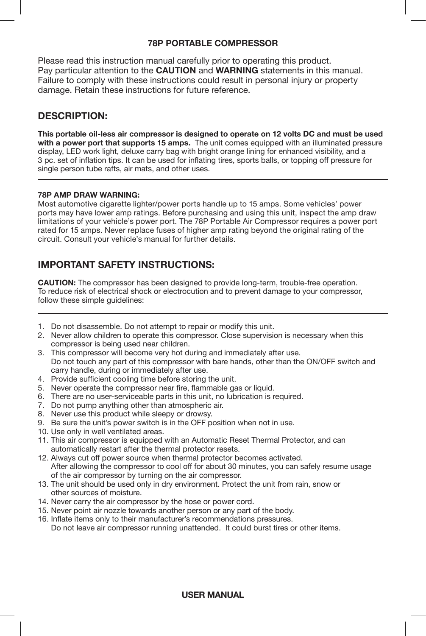### **78P PORTABLE COMPRESSOR**

Please read this instruction manual carefully prior to operating this product. Pay particular attention to the **CAUTION** and **WARNING** statements in this manual. Failure to comply with these instructions could result in personal injury or property damage. Retain these instructions for future reference.

### **DESCRIPTION:**

**This portable oil-less air compressor is designed to operate on 12 volts DC and must be used with a power port that supports 15 amps.** The unit comes equipped with an illuminated pressure display, LED work light, deluxe carry bag with bright orange lining for enhanced visibility, and a 3 pc. set of inflation tips. It can be used for inflating tires, sports balls, or topping off pressure for single person tube rafts, air mats, and other uses.

#### **78P AMP DRAW WARNING:**

Most automotive cigarette lighter/power ports handle up to 15 amps. Some vehicles' power ports may have lower amp ratings. Before purchasing and using this unit, inspect the amp draw limitations of your vehicle's power port. The 78P Portable Air Compressor requires a power port rated for 15 amps. Never replace fuses of higher amp rating beyond the original rating of the circuit. Consult your vehicle's manual for further details.

### **IMPORTANT SAFETY INSTRUCTIONS:**

**CAUTION:** The compressor has been designed to provide long-term, trouble-free operation. To reduce risk of electrical shock or electrocution and to prevent damage to your compressor, follow these simple guidelines:

- 1. Do not disassemble. Do not attempt to repair or modify this unit.
- 2. Never allow children to operate this compressor. Close supervision is necessary when this compressor is being used near children.
- 3. This compressor will become very hot during and immediately after use. Do not touch any part of this compressor with bare hands, other than the ON/OFF switch and carry handle, during or immediately after use.
- 4. Provide sufficient cooling time before storing the unit.
- 5. Never operate the compressor near fire, flammable gas or liquid.
- 6. There are no user-serviceable parts in this unit, no lubrication is required.
- 7. Do not pump anything other than atmospheric air.
- 8. Never use this product while sleepy or drowsy.
- 9. Be sure the unit's power switch is in the OFF position when not in use.
- 10. Use only in well ventilated areas.
- 11. This air compressor is equipped with an Automatic Reset Thermal Protector, and can automatically restart after the thermal protector resets.
- 12. Always cut off power source when thermal protector becomes activated. After allowing the compressor to cool off for about 30 minutes, you can safely resume usage of the air compressor by turning on the air compressor.
- 13. The unit should be used only in dry environment. Protect the unit from rain, snow or other sources of moisture.
- 14. Never carry the air compressor by the hose or power cord.
- 15. Never point air nozzle towards another person or any part of the body.
- 16. Inflate items only to their manufacturer's recommendations pressures. Do not leave air compressor running unattended. It could burst tires or other items.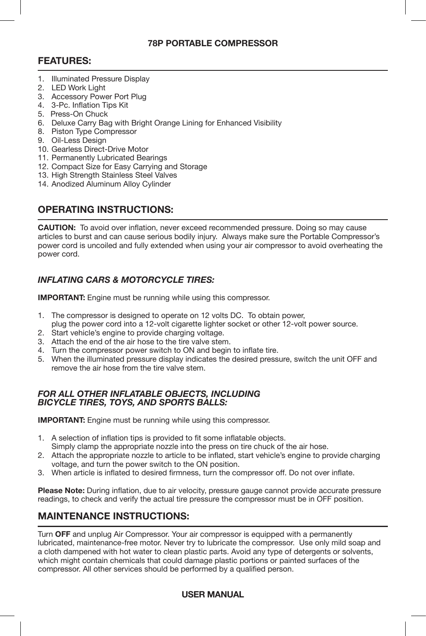### **78P PORTABLE COMPRESSOR**

### **FEATURES:**

- 1. Illuminated Pressure Display
- 2. LED Work Light
- 3. Accessory Power Port Plug
- 4. 3-Pc. Inflation Tips Kit
- 5. Press-On Chuck
- 6. Deluxe Carry Bag with Bright Orange Lining for Enhanced Visibility
- 8. Piston Type Compressor
- 9. Oil-Less Design
- 10. Gearless Direct-Drive Motor
- 11. Permanently Lubricated Bearings
- 12. Compact Size for Easy Carrying and Storage
- 13. High Strength Stainless Steel Valves
- 14. Anodized Aluminum Alloy Cylinder

## **OPERATING INSTRUCTIONS:**

**CAUTION:** To avoid over inflation, never exceed recommended pressure. Doing so may cause articles to burst and can cause serious bodily injury. Always make sure the Portable Compressor's power cord is uncoiled and fully extended when using your air compressor to avoid overheating the power cord.

### *INFLATING CARS & MOTORCYCLE TIRES:*

**IMPORTANT:** Engine must be running while using this compressor.

- 1. The compressor is designed to operate on 12 volts DC. To obtain power, plug the power cord into a 12-volt cigarette lighter socket or other 12-volt power source.
- 2. Start vehicle's engine to provide charging voltage.
- 3. Attach the end of the air hose to the tire valve stem.
- 4. Turn the compressor power switch to ON and begin to inflate tire.
- 5. When the illuminated pressure display indicates the desired pressure, switch the unit OFF and remove the air hose from the tire valve stem.

#### *FOR ALL OTHER INFLATABLE OBJECTS, INCLUDING BICYCLE TIRES, TOYS, AND SPORTS BALLS:*

**IMPORTANT:** Engine must be running while using this compressor.

- 1. A selection of inflation tips is provided to fit some inflatable objects. Simply clamp the appropriate nozzle into the press on tire chuck of the air hose.
- 2. Attach the appropriate nozzle to article to be inflated, start vehicle's engine to provide charging voltage, and turn the power switch to the ON position.
- 3. When article is inflated to desired firmness, turn the compressor off. Do not over inflate.

**Please Note:** During inflation, due to air velocity, pressure gauge cannot provide accurate pressure readings, to check and verify the actual tire pressure the compressor must be in OFF position.

## **MAINTENANCE INSTRUCTIONS:**

Turn **OFF** and unplug Air Compressor. Your air compressor is equipped with a permanently lubricated, maintenance-free motor. Never try to lubricate the compressor. Use only mild soap and a cloth dampened with hot water to clean plastic parts. Avoid any type of detergents or solvents, which might contain chemicals that could damage plastic portions or painted surfaces of the compressor. All other services should be performed by a qualified person.

**USER MANUAL**